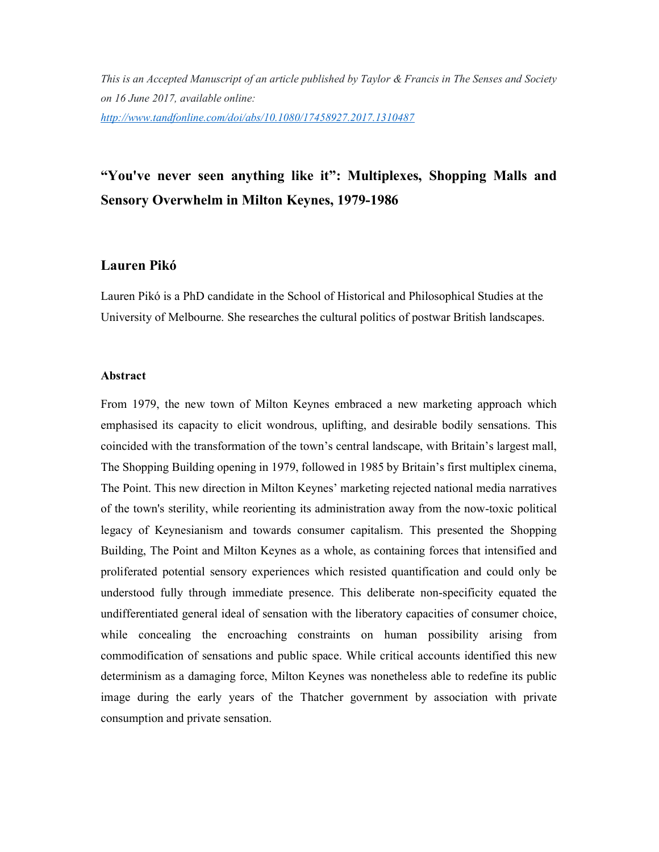This is an Accepted Manuscript of an article published by Taylor & Francis in The Senses and Society on 16 June 2017, available online: http://www.tandfonline.com/doi/abs/10.1080/17458927.2017.1310487

# "You've never seen anything like it": Multiplexes, Shopping Malls and Sensory Overwhelm in Milton Keynes, 1979-1986

# Lauren Pikó

Lauren Pikó is a PhD candidate in the School of Historical and Philosophical Studies at the University of Melbourne. She researches the cultural politics of postwar British landscapes.

#### Abstract

From 1979, the new town of Milton Keynes embraced a new marketing approach which emphasised its capacity to elicit wondrous, uplifting, and desirable bodily sensations. This coincided with the transformation of the town's central landscape, with Britain's largest mall, The Shopping Building opening in 1979, followed in 1985 by Britain's first multiplex cinema, The Point. This new direction in Milton Keynes' marketing rejected national media narratives of the town's sterility, while reorienting its administration away from the now-toxic political legacy of Keynesianism and towards consumer capitalism. This presented the Shopping Building, The Point and Milton Keynes as a whole, as containing forces that intensified and proliferated potential sensory experiences which resisted quantification and could only be understood fully through immediate presence. This deliberate non-specificity equated the undifferentiated general ideal of sensation with the liberatory capacities of consumer choice, while concealing the encroaching constraints on human possibility arising from commodification of sensations and public space. While critical accounts identified this new determinism as a damaging force, Milton Keynes was nonetheless able to redefine its public image during the early years of the Thatcher government by association with private consumption and private sensation.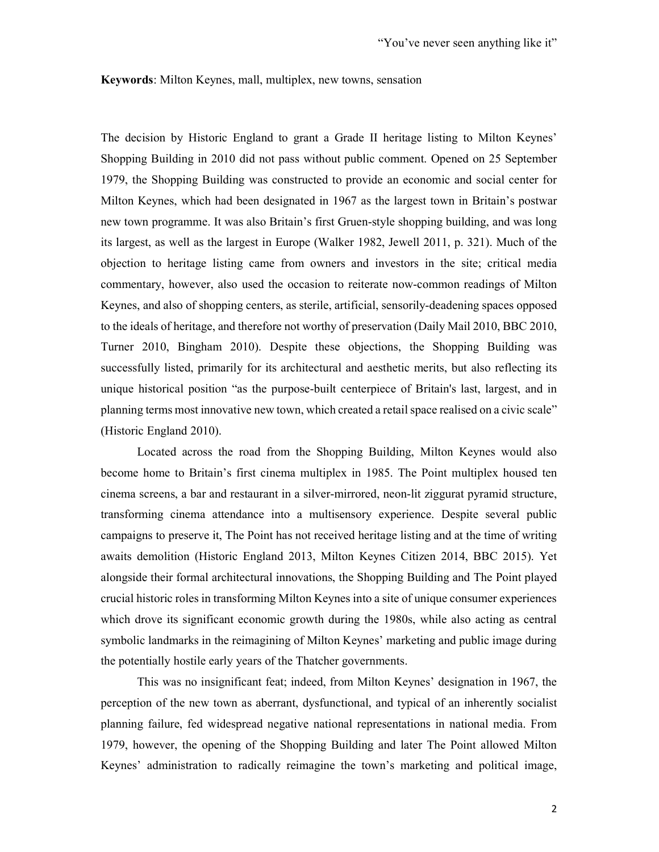Keywords: Milton Keynes, mall, multiplex, new towns, sensation

The decision by Historic England to grant a Grade II heritage listing to Milton Keynes' Shopping Building in 2010 did not pass without public comment. Opened on 25 September 1979, the Shopping Building was constructed to provide an economic and social center for Milton Keynes, which had been designated in 1967 as the largest town in Britain's postwar new town programme. It was also Britain's first Gruen-style shopping building, and was long its largest, as well as the largest in Europe (Walker 1982, Jewell 2011, p. 321). Much of the objection to heritage listing came from owners and investors in the site; critical media commentary, however, also used the occasion to reiterate now-common readings of Milton Keynes, and also of shopping centers, as sterile, artificial, sensorily-deadening spaces opposed to the ideals of heritage, and therefore not worthy of preservation (Daily Mail 2010, BBC 2010, Turner 2010, Bingham 2010). Despite these objections, the Shopping Building was successfully listed, primarily for its architectural and aesthetic merits, but also reflecting its unique historical position "as the purpose-built centerpiece of Britain's last, largest, and in planning terms most innovative new town, which created a retail space realised on a civic scale" (Historic England 2010).

Located across the road from the Shopping Building, Milton Keynes would also become home to Britain's first cinema multiplex in 1985. The Point multiplex housed ten cinema screens, a bar and restaurant in a silver-mirrored, neon-lit ziggurat pyramid structure, transforming cinema attendance into a multisensory experience. Despite several public campaigns to preserve it, The Point has not received heritage listing and at the time of writing awaits demolition (Historic England 2013, Milton Keynes Citizen 2014, BBC 2015). Yet alongside their formal architectural innovations, the Shopping Building and The Point played crucial historic roles in transforming Milton Keynes into a site of unique consumer experiences which drove its significant economic growth during the 1980s, while also acting as central symbolic landmarks in the reimagining of Milton Keynes' marketing and public image during the potentially hostile early years of the Thatcher governments.

This was no insignificant feat; indeed, from Milton Keynes' designation in 1967, the perception of the new town as aberrant, dysfunctional, and typical of an inherently socialist planning failure, fed widespread negative national representations in national media. From 1979, however, the opening of the Shopping Building and later The Point allowed Milton Keynes' administration to radically reimagine the town's marketing and political image,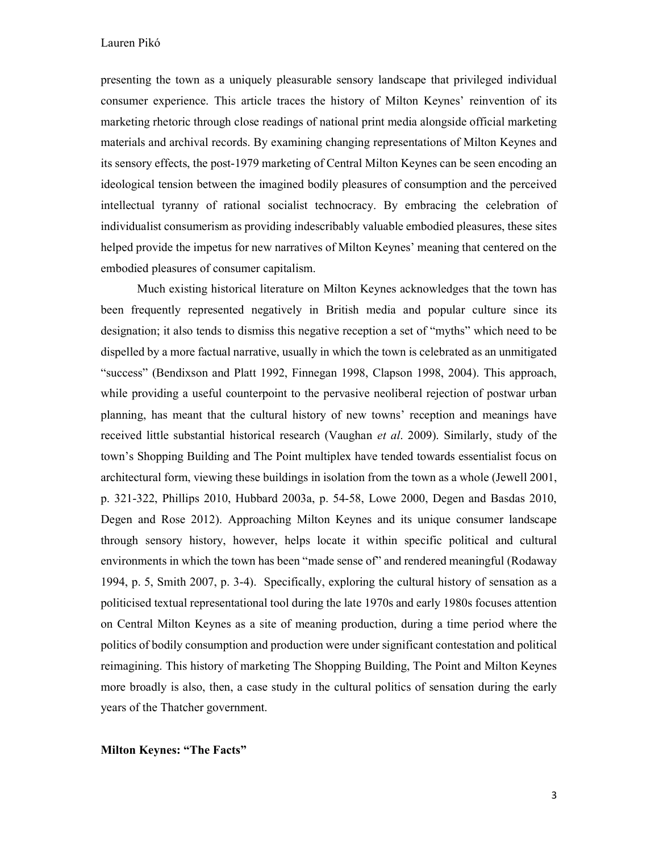presenting the town as a uniquely pleasurable sensory landscape that privileged individual consumer experience. This article traces the history of Milton Keynes' reinvention of its marketing rhetoric through close readings of national print media alongside official marketing materials and archival records. By examining changing representations of Milton Keynes and its sensory effects, the post-1979 marketing of Central Milton Keynes can be seen encoding an ideological tension between the imagined bodily pleasures of consumption and the perceived intellectual tyranny of rational socialist technocracy. By embracing the celebration of individualist consumerism as providing indescribably valuable embodied pleasures, these sites helped provide the impetus for new narratives of Milton Keynes' meaning that centered on the embodied pleasures of consumer capitalism.

Much existing historical literature on Milton Keynes acknowledges that the town has been frequently represented negatively in British media and popular culture since its designation; it also tends to dismiss this negative reception a set of "myths" which need to be dispelled by a more factual narrative, usually in which the town is celebrated as an unmitigated "success" (Bendixson and Platt 1992, Finnegan 1998, Clapson 1998, 2004). This approach, while providing a useful counterpoint to the pervasive neoliberal rejection of postwar urban planning, has meant that the cultural history of new towns' reception and meanings have received little substantial historical research (Vaughan *et al.* 2009). Similarly, study of the town's Shopping Building and The Point multiplex have tended towards essentialist focus on architectural form, viewing these buildings in isolation from the town as a whole (Jewell 2001, p. 321-322, Phillips 2010, Hubbard 2003a, p. 54-58, Lowe 2000, Degen and Basdas 2010, Degen and Rose 2012). Approaching Milton Keynes and its unique consumer landscape through sensory history, however, helps locate it within specific political and cultural environments in which the town has been "made sense of" and rendered meaningful (Rodaway 1994, p. 5, Smith 2007, p. 3-4). Specifically, exploring the cultural history of sensation as a politicised textual representational tool during the late 1970s and early 1980s focuses attention on Central Milton Keynes as a site of meaning production, during a time period where the politics of bodily consumption and production were under significant contestation and political reimagining. This history of marketing The Shopping Building, The Point and Milton Keynes more broadly is also, then, a case study in the cultural politics of sensation during the early years of the Thatcher government.

Milton Keynes: "The Facts"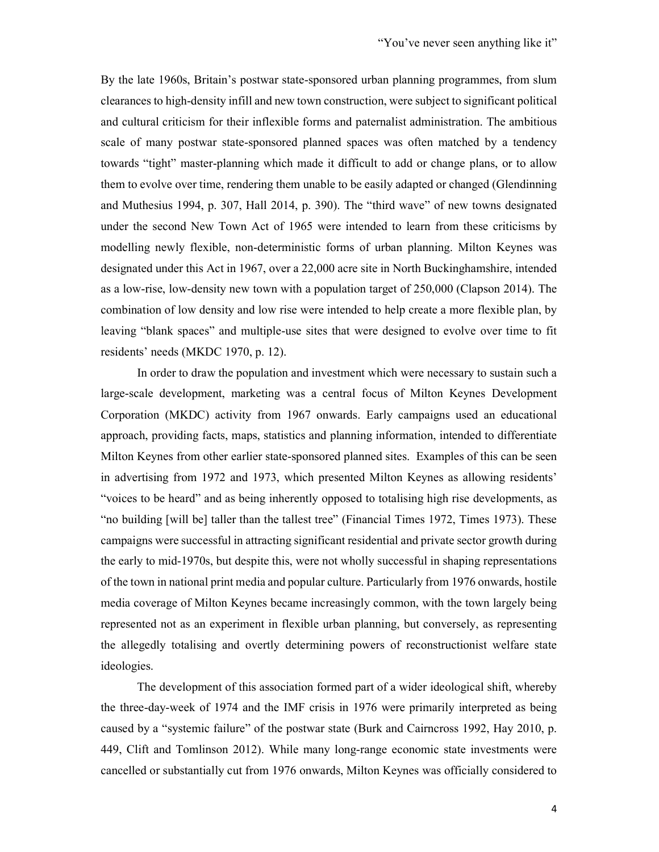By the late 1960s, Britain's postwar state-sponsored urban planning programmes, from slum clearances to high-density infill and new town construction, were subject to significant political and cultural criticism for their inflexible forms and paternalist administration. The ambitious scale of many postwar state-sponsored planned spaces was often matched by a tendency towards "tight" master-planning which made it difficult to add or change plans, or to allow them to evolve over time, rendering them unable to be easily adapted or changed (Glendinning and Muthesius 1994, p. 307, Hall 2014, p. 390). The "third wave" of new towns designated under the second New Town Act of 1965 were intended to learn from these criticisms by modelling newly flexible, non-deterministic forms of urban planning. Milton Keynes was designated under this Act in 1967, over a 22,000 acre site in North Buckinghamshire, intended as a low-rise, low-density new town with a population target of 250,000 (Clapson 2014). The combination of low density and low rise were intended to help create a more flexible plan, by leaving "blank spaces" and multiple-use sites that were designed to evolve over time to fit residents' needs (MKDC 1970, p. 12).

In order to draw the population and investment which were necessary to sustain such a large-scale development, marketing was a central focus of Milton Keynes Development Corporation (MKDC) activity from 1967 onwards. Early campaigns used an educational approach, providing facts, maps, statistics and planning information, intended to differentiate Milton Keynes from other earlier state-sponsored planned sites. Examples of this can be seen in advertising from 1972 and 1973, which presented Milton Keynes as allowing residents' "voices to be heard" and as being inherently opposed to totalising high rise developments, as "no building [will be] taller than the tallest tree" (Financial Times 1972, Times 1973). These campaigns were successful in attracting significant residential and private sector growth during the early to mid-1970s, but despite this, were not wholly successful in shaping representations of the town in national print media and popular culture. Particularly from 1976 onwards, hostile media coverage of Milton Keynes became increasingly common, with the town largely being represented not as an experiment in flexible urban planning, but conversely, as representing the allegedly totalising and overtly determining powers of reconstructionist welfare state ideologies.

The development of this association formed part of a wider ideological shift, whereby the three-day-week of 1974 and the IMF crisis in 1976 were primarily interpreted as being caused by a "systemic failure" of the postwar state (Burk and Cairncross 1992, Hay 2010, p. 449, Clift and Tomlinson 2012). While many long-range economic state investments were cancelled or substantially cut from 1976 onwards, Milton Keynes was officially considered to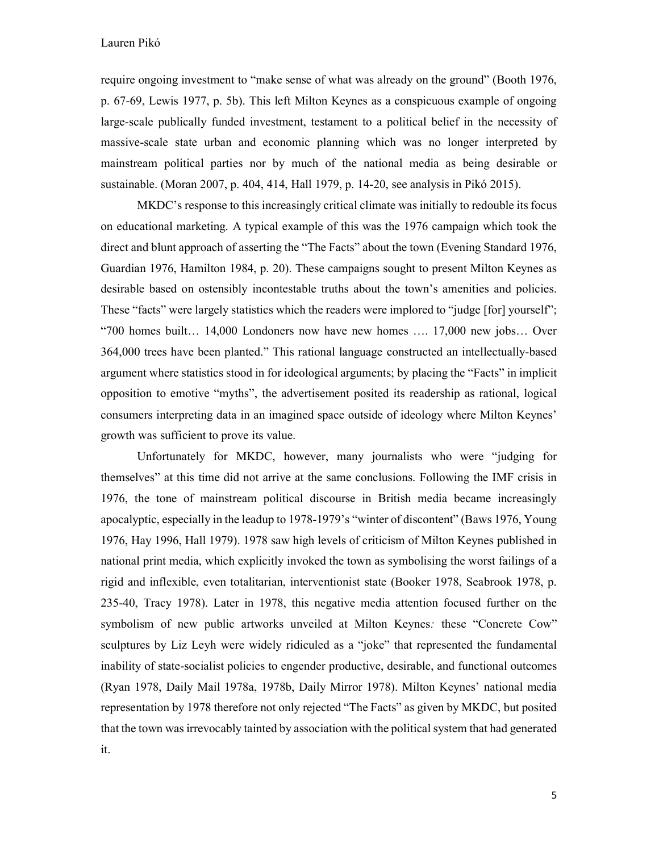require ongoing investment to "make sense of what was already on the ground" (Booth 1976, p. 67-69, Lewis 1977, p. 5b). This left Milton Keynes as a conspicuous example of ongoing large-scale publically funded investment, testament to a political belief in the necessity of massive-scale state urban and economic planning which was no longer interpreted by mainstream political parties nor by much of the national media as being desirable or sustainable. (Moran 2007, p. 404, 414, Hall 1979, p. 14-20, see analysis in Pikó 2015).

MKDC's response to this increasingly critical climate was initially to redouble its focus on educational marketing. A typical example of this was the 1976 campaign which took the direct and blunt approach of asserting the "The Facts" about the town (Evening Standard 1976, Guardian 1976, Hamilton 1984, p. 20). These campaigns sought to present Milton Keynes as desirable based on ostensibly incontestable truths about the town's amenities and policies. These "facts" were largely statistics which the readers were implored to "judge [for] yourself"; "700 homes built… 14,000 Londoners now have new homes …. 17,000 new jobs… Over 364,000 trees have been planted." This rational language constructed an intellectually-based argument where statistics stood in for ideological arguments; by placing the "Facts" in implicit opposition to emotive "myths", the advertisement posited its readership as rational, logical consumers interpreting data in an imagined space outside of ideology where Milton Keynes' growth was sufficient to prove its value.

Unfortunately for MKDC, however, many journalists who were "judging for themselves" at this time did not arrive at the same conclusions. Following the IMF crisis in 1976, the tone of mainstream political discourse in British media became increasingly apocalyptic, especially in the leadup to 1978-1979's "winter of discontent" (Baws 1976, Young 1976, Hay 1996, Hall 1979). 1978 saw high levels of criticism of Milton Keynes published in national print media, which explicitly invoked the town as symbolising the worst failings of a rigid and inflexible, even totalitarian, interventionist state (Booker 1978, Seabrook 1978, p. 235-40, Tracy 1978). Later in 1978, this negative media attention focused further on the symbolism of new public artworks unveiled at Milton Keynes: these "Concrete Cow" sculptures by Liz Leyh were widely ridiculed as a "joke" that represented the fundamental inability of state-socialist policies to engender productive, desirable, and functional outcomes (Ryan 1978, Daily Mail 1978a, 1978b, Daily Mirror 1978). Milton Keynes' national media representation by 1978 therefore not only rejected "The Facts" as given by MKDC, but posited that the town was irrevocably tainted by association with the political system that had generated it.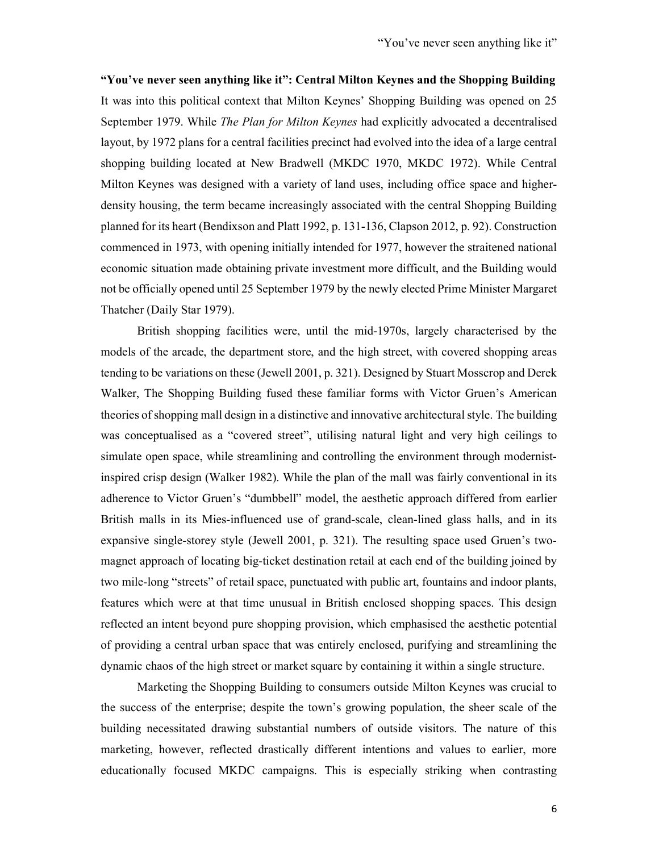"You've never seen anything like it": Central Milton Keynes and the Shopping Building It was into this political context that Milton Keynes' Shopping Building was opened on 25 September 1979. While *The Plan for Milton Keynes* had explicitly advocated a decentralised layout, by 1972 plans for a central facilities precinct had evolved into the idea of a large central shopping building located at New Bradwell (MKDC 1970, MKDC 1972). While Central Milton Keynes was designed with a variety of land uses, including office space and higherdensity housing, the term became increasingly associated with the central Shopping Building planned for its heart (Bendixson and Platt 1992, p. 131-136, Clapson 2012, p. 92). Construction commenced in 1973, with opening initially intended for 1977, however the straitened national economic situation made obtaining private investment more difficult, and the Building would not be officially opened until 25 September 1979 by the newly elected Prime Minister Margaret Thatcher (Daily Star 1979).

British shopping facilities were, until the mid-1970s, largely characterised by the models of the arcade, the department store, and the high street, with covered shopping areas tending to be variations on these (Jewell 2001, p. 321). Designed by Stuart Mosscrop and Derek Walker, The Shopping Building fused these familiar forms with Victor Gruen's American theories of shopping mall design in a distinctive and innovative architectural style. The building was conceptualised as a "covered street", utilising natural light and very high ceilings to simulate open space, while streamlining and controlling the environment through modernistinspired crisp design (Walker 1982). While the plan of the mall was fairly conventional in its adherence to Victor Gruen's "dumbbell" model, the aesthetic approach differed from earlier British malls in its Mies-influenced use of grand-scale, clean-lined glass halls, and in its expansive single-storey style (Jewell 2001, p. 321). The resulting space used Gruen's twomagnet approach of locating big-ticket destination retail at each end of the building joined by two mile-long "streets" of retail space, punctuated with public art, fountains and indoor plants, features which were at that time unusual in British enclosed shopping spaces. This design reflected an intent beyond pure shopping provision, which emphasised the aesthetic potential of providing a central urban space that was entirely enclosed, purifying and streamlining the dynamic chaos of the high street or market square by containing it within a single structure.

Marketing the Shopping Building to consumers outside Milton Keynes was crucial to the success of the enterprise; despite the town's growing population, the sheer scale of the building necessitated drawing substantial numbers of outside visitors. The nature of this marketing, however, reflected drastically different intentions and values to earlier, more educationally focused MKDC campaigns. This is especially striking when contrasting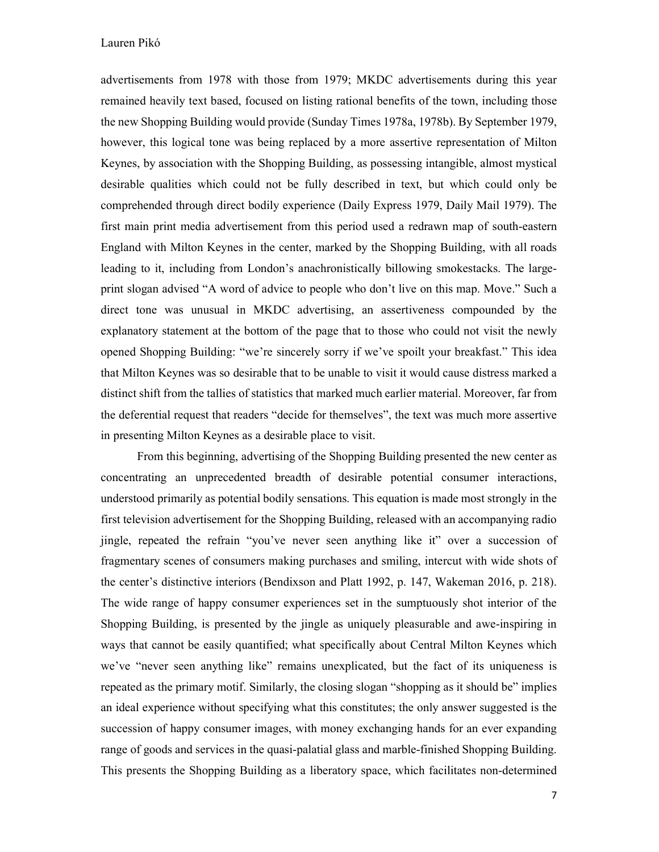advertisements from 1978 with those from 1979; MKDC advertisements during this year remained heavily text based, focused on listing rational benefits of the town, including those the new Shopping Building would provide (Sunday Times 1978a, 1978b). By September 1979, however, this logical tone was being replaced by a more assertive representation of Milton Keynes, by association with the Shopping Building, as possessing intangible, almost mystical desirable qualities which could not be fully described in text, but which could only be comprehended through direct bodily experience (Daily Express 1979, Daily Mail 1979). The first main print media advertisement from this period used a redrawn map of south-eastern England with Milton Keynes in the center, marked by the Shopping Building, with all roads leading to it, including from London's anachronistically billowing smokestacks. The largeprint slogan advised "A word of advice to people who don't live on this map. Move." Such a direct tone was unusual in MKDC advertising, an assertiveness compounded by the explanatory statement at the bottom of the page that to those who could not visit the newly opened Shopping Building: "we're sincerely sorry if we've spoilt your breakfast." This idea that Milton Keynes was so desirable that to be unable to visit it would cause distress marked a distinct shift from the tallies of statistics that marked much earlier material. Moreover, far from the deferential request that readers "decide for themselves", the text was much more assertive in presenting Milton Keynes as a desirable place to visit.

From this beginning, advertising of the Shopping Building presented the new center as concentrating an unprecedented breadth of desirable potential consumer interactions, understood primarily as potential bodily sensations. This equation is made most strongly in the first television advertisement for the Shopping Building, released with an accompanying radio jingle, repeated the refrain "you've never seen anything like it" over a succession of fragmentary scenes of consumers making purchases and smiling, intercut with wide shots of the center's distinctive interiors (Bendixson and Platt 1992, p. 147, Wakeman 2016, p. 218). The wide range of happy consumer experiences set in the sumptuously shot interior of the Shopping Building, is presented by the jingle as uniquely pleasurable and awe-inspiring in ways that cannot be easily quantified; what specifically about Central Milton Keynes which we've "never seen anything like" remains unexplicated, but the fact of its uniqueness is repeated as the primary motif. Similarly, the closing slogan "shopping as it should be" implies an ideal experience without specifying what this constitutes; the only answer suggested is the succession of happy consumer images, with money exchanging hands for an ever expanding range of goods and services in the quasi-palatial glass and marble-finished Shopping Building. This presents the Shopping Building as a liberatory space, which facilitates non-determined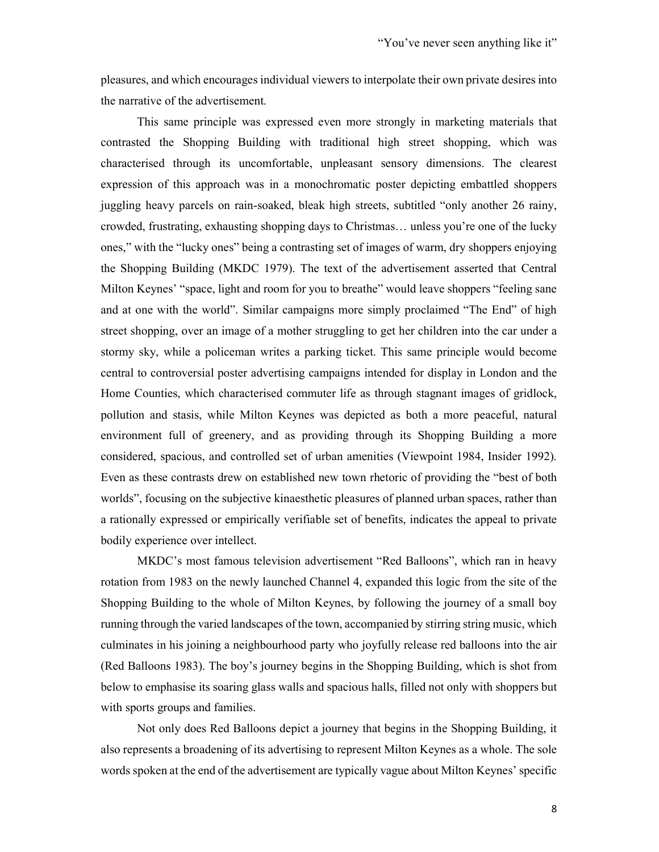pleasures, and which encourages individual viewers to interpolate their own private desires into the narrative of the advertisement.

This same principle was expressed even more strongly in marketing materials that contrasted the Shopping Building with traditional high street shopping, which was characterised through its uncomfortable, unpleasant sensory dimensions. The clearest expression of this approach was in a monochromatic poster depicting embattled shoppers juggling heavy parcels on rain-soaked, bleak high streets, subtitled "only another 26 rainy, crowded, frustrating, exhausting shopping days to Christmas… unless you're one of the lucky ones," with the "lucky ones" being a contrasting set of images of warm, dry shoppers enjoying the Shopping Building (MKDC 1979). The text of the advertisement asserted that Central Milton Keynes' "space, light and room for you to breathe" would leave shoppers "feeling sane and at one with the world". Similar campaigns more simply proclaimed "The End" of high street shopping, over an image of a mother struggling to get her children into the car under a stormy sky, while a policeman writes a parking ticket. This same principle would become central to controversial poster advertising campaigns intended for display in London and the Home Counties, which characterised commuter life as through stagnant images of gridlock, pollution and stasis, while Milton Keynes was depicted as both a more peaceful, natural environment full of greenery, and as providing through its Shopping Building a more considered, spacious, and controlled set of urban amenities (Viewpoint 1984, Insider 1992). Even as these contrasts drew on established new town rhetoric of providing the "best of both worlds", focusing on the subjective kinaesthetic pleasures of planned urban spaces, rather than a rationally expressed or empirically verifiable set of benefits, indicates the appeal to private bodily experience over intellect.

MKDC's most famous television advertisement "Red Balloons", which ran in heavy rotation from 1983 on the newly launched Channel 4, expanded this logic from the site of the Shopping Building to the whole of Milton Keynes, by following the journey of a small boy running through the varied landscapes of the town, accompanied by stirring string music, which culminates in his joining a neighbourhood party who joyfully release red balloons into the air (Red Balloons 1983). The boy's journey begins in the Shopping Building, which is shot from below to emphasise its soaring glass walls and spacious halls, filled not only with shoppers but with sports groups and families.

Not only does Red Balloons depict a journey that begins in the Shopping Building, it also represents a broadening of its advertising to represent Milton Keynes as a whole. The sole words spoken at the end of the advertisement are typically vague about Milton Keynes' specific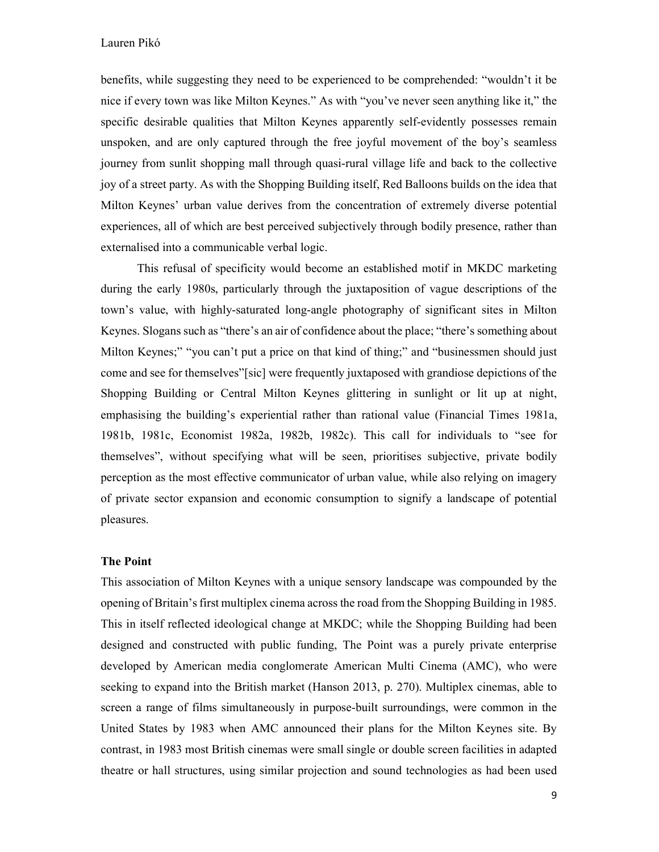benefits, while suggesting they need to be experienced to be comprehended: "wouldn't it be nice if every town was like Milton Keynes." As with "you've never seen anything like it," the specific desirable qualities that Milton Keynes apparently self-evidently possesses remain unspoken, and are only captured through the free joyful movement of the boy's seamless journey from sunlit shopping mall through quasi-rural village life and back to the collective joy of a street party. As with the Shopping Building itself, Red Balloons builds on the idea that Milton Keynes' urban value derives from the concentration of extremely diverse potential experiences, all of which are best perceived subjectively through bodily presence, rather than externalised into a communicable verbal logic.

This refusal of specificity would become an established motif in MKDC marketing during the early 1980s, particularly through the juxtaposition of vague descriptions of the town's value, with highly-saturated long-angle photography of significant sites in Milton Keynes. Slogans such as "there's an air of confidence about the place; "there's something about Milton Keynes;" "you can't put a price on that kind of thing;" and "businessmen should just come and see for themselves"[sic] were frequently juxtaposed with grandiose depictions of the Shopping Building or Central Milton Keynes glittering in sunlight or lit up at night, emphasising the building's experiential rather than rational value (Financial Times 1981a, 1981b, 1981c, Economist 1982a, 1982b, 1982c). This call for individuals to "see for themselves", without specifying what will be seen, prioritises subjective, private bodily perception as the most effective communicator of urban value, while also relying on imagery of private sector expansion and economic consumption to signify a landscape of potential pleasures.

## The Point

This association of Milton Keynes with a unique sensory landscape was compounded by the opening of Britain's first multiplex cinema across the road from the Shopping Building in 1985. This in itself reflected ideological change at MKDC; while the Shopping Building had been designed and constructed with public funding, The Point was a purely private enterprise developed by American media conglomerate American Multi Cinema (AMC), who were seeking to expand into the British market (Hanson 2013, p. 270). Multiplex cinemas, able to screen a range of films simultaneously in purpose-built surroundings, were common in the United States by 1983 when AMC announced their plans for the Milton Keynes site. By contrast, in 1983 most British cinemas were small single or double screen facilities in adapted theatre or hall structures, using similar projection and sound technologies as had been used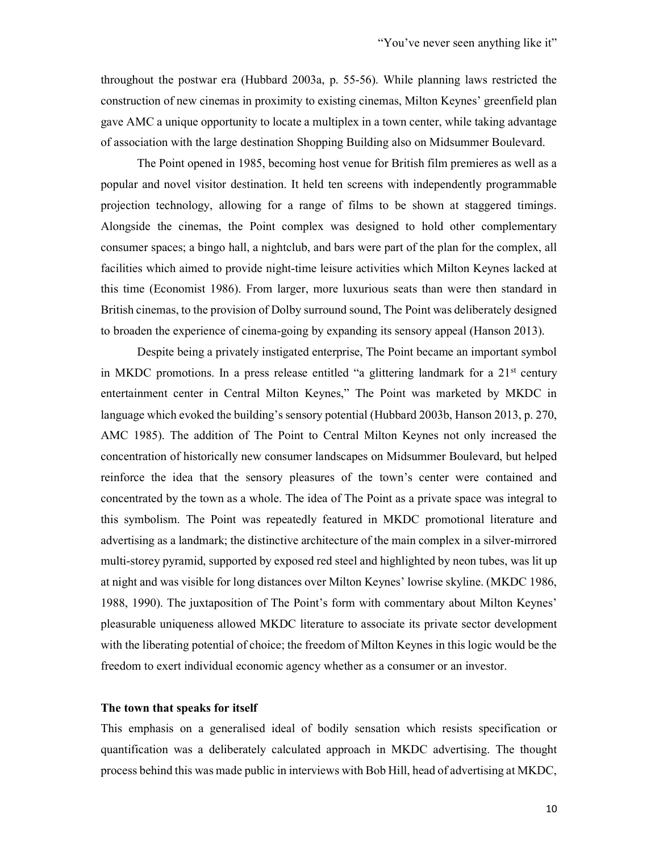throughout the postwar era (Hubbard 2003a, p. 55-56). While planning laws restricted the construction of new cinemas in proximity to existing cinemas, Milton Keynes' greenfield plan gave AMC a unique opportunity to locate a multiplex in a town center, while taking advantage of association with the large destination Shopping Building also on Midsummer Boulevard.

The Point opened in 1985, becoming host venue for British film premieres as well as a popular and novel visitor destination. It held ten screens with independently programmable projection technology, allowing for a range of films to be shown at staggered timings. Alongside the cinemas, the Point complex was designed to hold other complementary consumer spaces; a bingo hall, a nightclub, and bars were part of the plan for the complex, all facilities which aimed to provide night-time leisure activities which Milton Keynes lacked at this time (Economist 1986). From larger, more luxurious seats than were then standard in British cinemas, to the provision of Dolby surround sound, The Point was deliberately designed to broaden the experience of cinema-going by expanding its sensory appeal (Hanson 2013).

Despite being a privately instigated enterprise, The Point became an important symbol in MKDC promotions. In a press release entitled "a glittering landmark for a  $21<sup>st</sup>$  century entertainment center in Central Milton Keynes," The Point was marketed by MKDC in language which evoked the building's sensory potential (Hubbard 2003b, Hanson 2013, p. 270, AMC 1985). The addition of The Point to Central Milton Keynes not only increased the concentration of historically new consumer landscapes on Midsummer Boulevard, but helped reinforce the idea that the sensory pleasures of the town's center were contained and concentrated by the town as a whole. The idea of The Point as a private space was integral to this symbolism. The Point was repeatedly featured in MKDC promotional literature and advertising as a landmark; the distinctive architecture of the main complex in a silver-mirrored multi-storey pyramid, supported by exposed red steel and highlighted by neon tubes, was lit up at night and was visible for long distances over Milton Keynes' lowrise skyline. (MKDC 1986, 1988, 1990). The juxtaposition of The Point's form with commentary about Milton Keynes' pleasurable uniqueness allowed MKDC literature to associate its private sector development with the liberating potential of choice; the freedom of Milton Keynes in this logic would be the freedom to exert individual economic agency whether as a consumer or an investor.

#### The town that speaks for itself

This emphasis on a generalised ideal of bodily sensation which resists specification or quantification was a deliberately calculated approach in MKDC advertising. The thought process behind this was made public in interviews with Bob Hill, head of advertising at MKDC,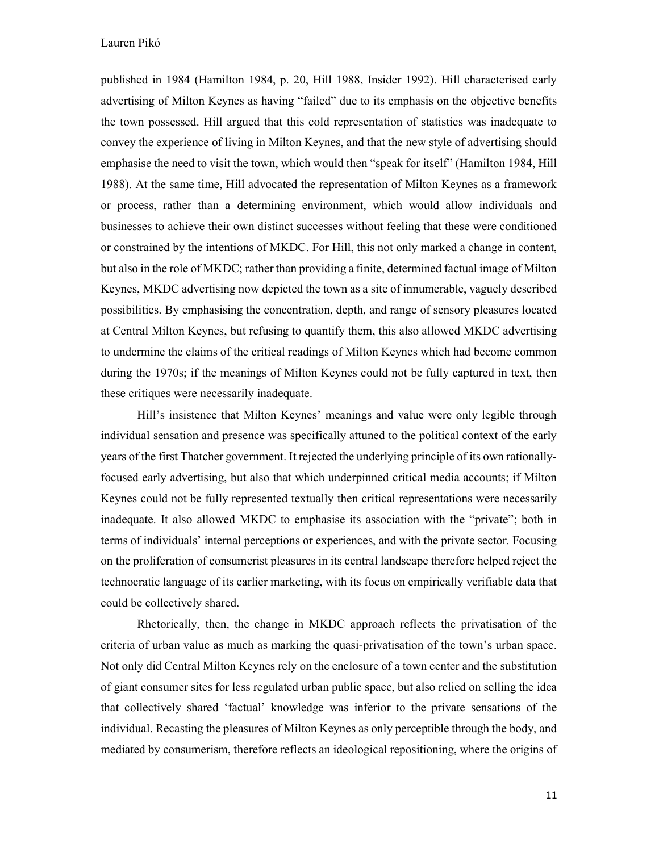published in 1984 (Hamilton 1984, p. 20, Hill 1988, Insider 1992). Hill characterised early advertising of Milton Keynes as having "failed" due to its emphasis on the objective benefits the town possessed. Hill argued that this cold representation of statistics was inadequate to convey the experience of living in Milton Keynes, and that the new style of advertising should emphasise the need to visit the town, which would then "speak for itself" (Hamilton 1984, Hill 1988). At the same time, Hill advocated the representation of Milton Keynes as a framework or process, rather than a determining environment, which would allow individuals and businesses to achieve their own distinct successes without feeling that these were conditioned or constrained by the intentions of MKDC. For Hill, this not only marked a change in content, but also in the role of MKDC; rather than providing a finite, determined factual image of Milton Keynes, MKDC advertising now depicted the town as a site of innumerable, vaguely described possibilities. By emphasising the concentration, depth, and range of sensory pleasures located at Central Milton Keynes, but refusing to quantify them, this also allowed MKDC advertising to undermine the claims of the critical readings of Milton Keynes which had become common during the 1970s; if the meanings of Milton Keynes could not be fully captured in text, then these critiques were necessarily inadequate.

Hill's insistence that Milton Keynes' meanings and value were only legible through individual sensation and presence was specifically attuned to the political context of the early years of the first Thatcher government. It rejected the underlying principle of its own rationallyfocused early advertising, but also that which underpinned critical media accounts; if Milton Keynes could not be fully represented textually then critical representations were necessarily inadequate. It also allowed MKDC to emphasise its association with the "private"; both in terms of individuals' internal perceptions or experiences, and with the private sector. Focusing on the proliferation of consumerist pleasures in its central landscape therefore helped reject the technocratic language of its earlier marketing, with its focus on empirically verifiable data that could be collectively shared.

Rhetorically, then, the change in MKDC approach reflects the privatisation of the criteria of urban value as much as marking the quasi-privatisation of the town's urban space. Not only did Central Milton Keynes rely on the enclosure of a town center and the substitution of giant consumer sites for less regulated urban public space, but also relied on selling the idea that collectively shared 'factual' knowledge was inferior to the private sensations of the individual. Recasting the pleasures of Milton Keynes as only perceptible through the body, and mediated by consumerism, therefore reflects an ideological repositioning, where the origins of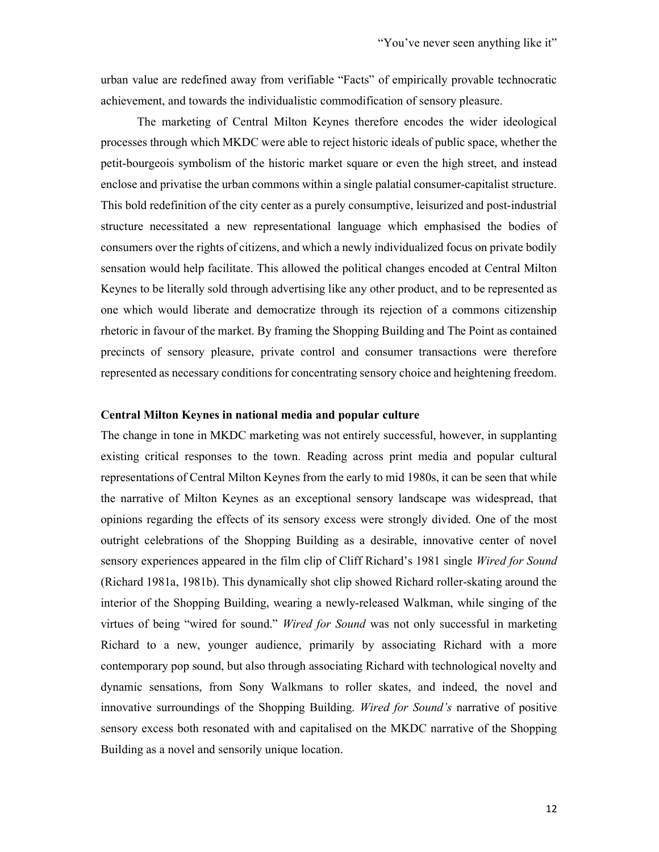urban value are redefined away from verifiable "Facts" of empirically provable technocratic achievement, and towards the individualistic commodification of sensory pleasure.

The marketing of Central Milton Keynes therefore encodes the wider ideological processes through which MKDC were able to reject historic ideals of public space, whether the petit-bourgeois symbolism of the historic market square or even the high street, and instead enclose and privatise the urban commons within a single palatial consumer-capitalist structure. This bold redefinition of the city center as a purely consumptive, leisurized and post-industrial structure necessitated a new representational language which emphasised the bodies of consumers over the rights of citizens, and which a newly individualized focus on private bodily sensation would help facilitate. This allowed the political changes encoded at Central Milton Keynes to be literally sold through advertising like any other product, and to be represented as one which would liberate and democratize through its rejection of a commons citizenship rhetoric in favour of the market. By framing the Shopping Building and The Point as contained precincts of sensory pleasure, private control and consumer transactions were therefore represented as necessary conditions for concentrating sensory choice and heightening freedom.

#### Central Milton Keynes in national media and popular culture

The change in tone in MKDC marketing was not entirely successful, however, in supplanting existing critical responses to the town. Reading across print media and popular cultural representations of Central Milton Keynes from the early to mid 1980s, it can be seen that while the narrative of Milton Keynes as an exceptional sensory landscape was widespread, that opinions regarding the effects of its sensory excess were strongly divided. One of the most outright celebrations of the Shopping Building as a desirable, innovative center of novel sensory experiences appeared in the film clip of Cliff Richard's 1981 single Wired for Sound (Richard 1981a, 1981b). This dynamically shot clip showed Richard roller-skating around the interior of the Shopping Building, wearing a newly-released Walkman, while singing of the virtues of being "wired for sound." Wired for Sound was not only successful in marketing Richard to a new, younger audience, primarily by associating Richard with a more contemporary pop sound, but also through associating Richard with technological novelty and dynamic sensations, from Sony Walkmans to roller skates, and indeed, the novel and innovative surroundings of the Shopping Building. Wired for Sound's narrative of positive sensory excess both resonated with and capitalised on the MKDC narrative of the Shopping Building as a novel and sensorily unique location.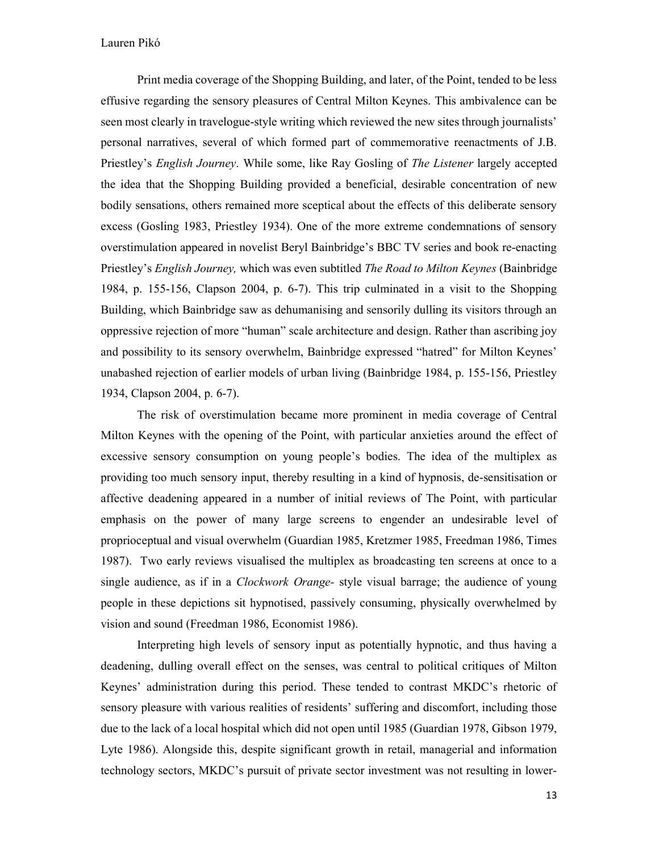Print media coverage of the Shopping Building, and later, of the Point, tended to be less effusive regarding the sensory pleasures of Central Milton Keynes. This ambivalence can be seen most clearly in travelogue-style writing which reviewed the new sites through journalists' personal narratives, several of which formed part of commemorative reenactments of J.B. Priestley's *English Journey*. While some, like Ray Gosling of *The Listener* largely accepted the idea that the Shopping Building provided a beneficial, desirable concentration of new bodily sensations, others remained more sceptical about the effects of this deliberate sensory excess (Gosling 1983, Priestley 1934). One of the more extreme condemnations of sensory overstimulation appeared in novelist Beryl Bainbridge's BBC TV series and book re-enacting Priestley's *English Journey*, which was even subtitled *The Road to Milton Keynes* (Bainbridge) 1984, p. 155-156, Clapson 2004, p. 6-7). This trip culminated in a visit to the Shopping Building, which Bainbridge saw as dehumanising and sensorily dulling its visitors through an oppressive rejection of more "human" scale architecture and design. Rather than ascribing joy and possibility to its sensory overwhelm, Bainbridge expressed "hatred" for Milton Keynes' unabashed rejection of earlier models of urban living (Bainbridge 1984, p. 155-156, Priestley 1934, Clapson 2004, p. 6-7).

The risk of overstimulation became more prominent in media coverage of Central Milton Keynes with the opening of the Point, with particular anxieties around the effect of excessive sensory consumption on young people's bodies. The idea of the multiplex as providing too much sensory input, thereby resulting in a kind of hypnosis, de-sensitisation or affective deadening appeared in a number of initial reviews of The Point, with particular emphasis on the power of many large screens to engender an undesirable level of proprioceptual and visual overwhelm (Guardian 1985, Kretzmer 1985, Freedman 1986, Times 1987). Two early reviews visualised the multiplex as broadcasting ten screens at once to a single audience, as if in a *Clockwork Orange*- style visual barrage; the audience of young people in these depictions sit hypnotised, passively consuming, physically overwhelmed by vision and sound (Freedman 1986, Economist 1986).

Interpreting high levels of sensory input as potentially hypnotic, and thus having a deadening, dulling overall effect on the senses, was central to political critiques of Milton Keynes' administration during this period. These tended to contrast MKDC's rhetoric of sensory pleasure with various realities of residents' suffering and discomfort, including those due to the lack of a local hospital which did not open until 1985 (Guardian 1978, Gibson 1979, Lyte 1986). Alongside this, despite significant growth in retail, managerial and information technology sectors, MKDC's pursuit of private sector investment was not resulting in lower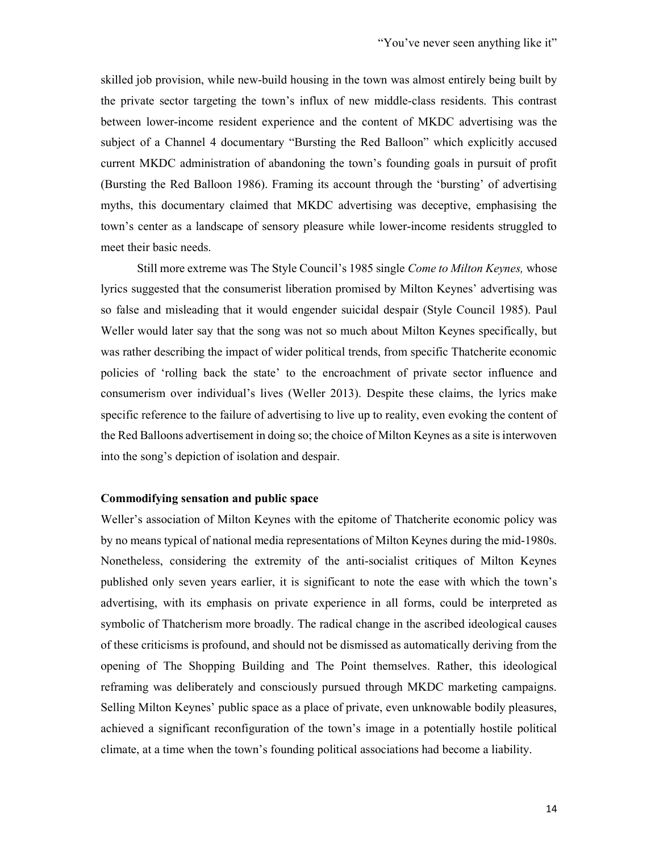skilled job provision, while new-build housing in the town was almost entirely being built by the private sector targeting the town's influx of new middle-class residents. This contrast between lower-income resident experience and the content of MKDC advertising was the subject of a Channel 4 documentary "Bursting the Red Balloon" which explicitly accused current MKDC administration of abandoning the town's founding goals in pursuit of profit (Bursting the Red Balloon 1986). Framing its account through the 'bursting' of advertising myths, this documentary claimed that MKDC advertising was deceptive, emphasising the town's center as a landscape of sensory pleasure while lower-income residents struggled to meet their basic needs.

Still more extreme was The Style Council's 1985 single Come to Milton Keynes, whose lyrics suggested that the consumerist liberation promised by Milton Keynes' advertising was so false and misleading that it would engender suicidal despair (Style Council 1985). Paul Weller would later say that the song was not so much about Milton Keynes specifically, but was rather describing the impact of wider political trends, from specific Thatcherite economic policies of 'rolling back the state' to the encroachment of private sector influence and consumerism over individual's lives (Weller 2013). Despite these claims, the lyrics make specific reference to the failure of advertising to live up to reality, even evoking the content of the Red Balloons advertisement in doing so; the choice of Milton Keynes as a site is interwoven into the song's depiction of isolation and despair.

#### Commodifying sensation and public space

Weller's association of Milton Keynes with the epitome of Thatcherite economic policy was by no means typical of national media representations of Milton Keynes during the mid-1980s. Nonetheless, considering the extremity of the anti-socialist critiques of Milton Keynes published only seven years earlier, it is significant to note the ease with which the town's advertising, with its emphasis on private experience in all forms, could be interpreted as symbolic of Thatcherism more broadly. The radical change in the ascribed ideological causes of these criticisms is profound, and should not be dismissed as automatically deriving from the opening of The Shopping Building and The Point themselves. Rather, this ideological reframing was deliberately and consciously pursued through MKDC marketing campaigns. Selling Milton Keynes' public space as a place of private, even unknowable bodily pleasures, achieved a significant reconfiguration of the town's image in a potentially hostile political climate, at a time when the town's founding political associations had become a liability.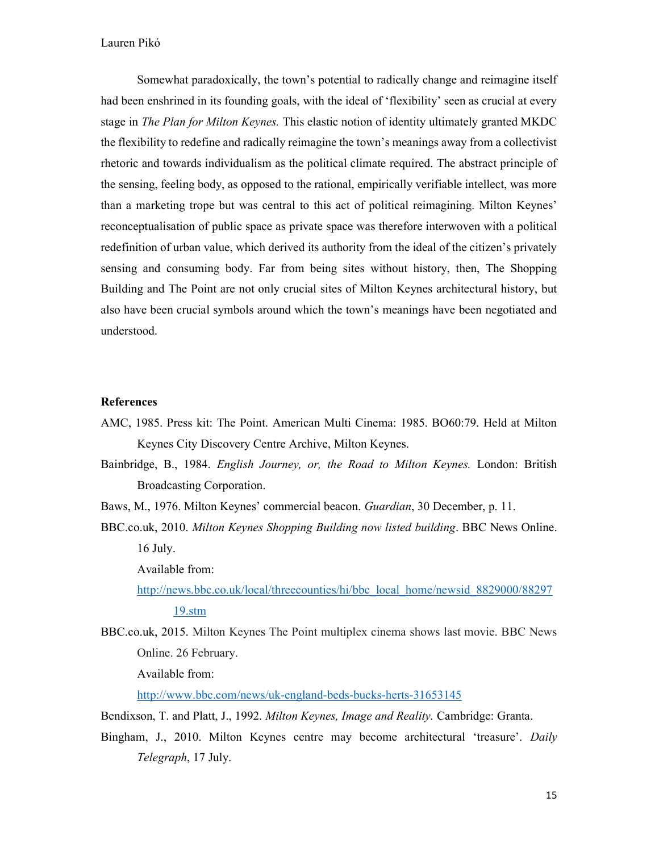Somewhat paradoxically, the town's potential to radically change and reimagine itself had been enshrined in its founding goals, with the ideal of 'flexibility' seen as crucial at every stage in *The Plan for Milton Keynes*. This elastic notion of identity ultimately granted MKDC the flexibility to redefine and radically reimagine the town's meanings away from a collectivist rhetoric and towards individualism as the political climate required. The abstract principle of the sensing, feeling body, as opposed to the rational, empirically verifiable intellect, was more than a marketing trope but was central to this act of political reimagining. Milton Keynes' reconceptualisation of public space as private space was therefore interwoven with a political redefinition of urban value, which derived its authority from the ideal of the citizen's privately sensing and consuming body. Far from being sites without history, then, The Shopping Building and The Point are not only crucial sites of Milton Keynes architectural history, but also have been crucial symbols around which the town's meanings have been negotiated and understood.

## **References**

- AMC, 1985. Press kit: The Point. American Multi Cinema: 1985. BO60:79. Held at Milton Keynes City Discovery Centre Archive, Milton Keynes.
- Bainbridge, B., 1984. English Journey, or, the Road to Milton Keynes. London: British Broadcasting Corporation.
- Baws, M., 1976. Milton Keynes' commercial beacon. Guardian, 30 December, p. 11.
- BBC.co.uk, 2010. Milton Keynes Shopping Building now listed building. BBC News Online. 16 July.

Available from:

http://news.bbc.co.uk/local/threecounties/hi/bbc\_local\_home/newsid\_8829000/88297 19.stm

BBC.co.uk, 2015. Milton Keynes The Point multiplex cinema shows last movie. BBC News Online. 26 February.

Available from:

http://www.bbc.com/news/uk-england-beds-bucks-herts-31653145

- Bendixson, T. and Platt, J., 1992. Milton Keynes, Image and Reality. Cambridge: Granta.
- Bingham, J., 2010. Milton Keynes centre may become architectural 'treasure'. Daily Telegraph, 17 July.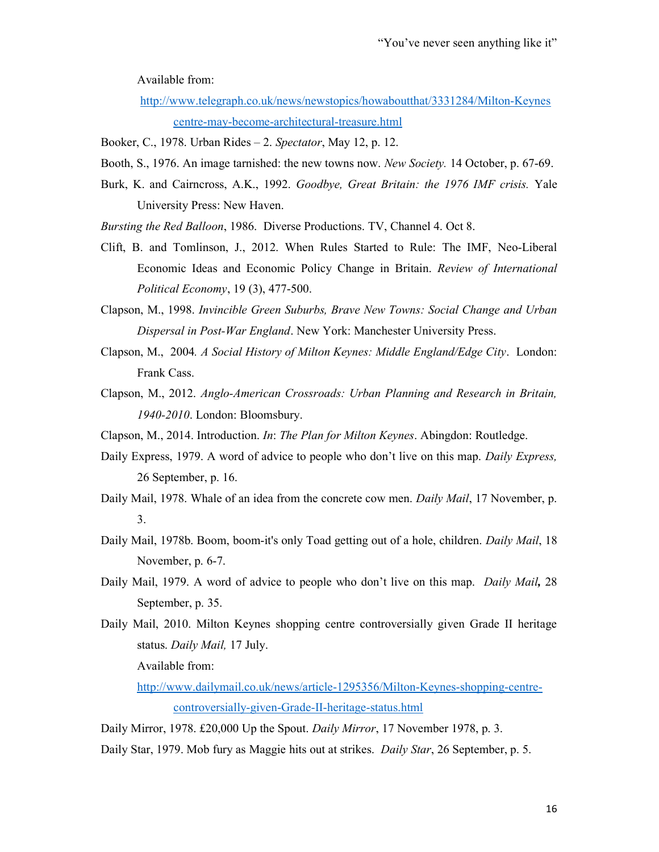Available from:

http://www.telegraph.co.uk/news/newstopics/howaboutthat/3331284/Milton-Keynes centre-may-become-architectural-treasure.html

Booker, C., 1978. Urban Rides – 2. Spectator, May 12, p. 12.

Booth, S., 1976. An image tarnished: the new towns now. New Society. 14 October, p. 67-69.

Burk, K. and Cairncross, A.K., 1992. Goodbye, Great Britain: the 1976 IMF crisis. Yale University Press: New Haven.

Bursting the Red Balloon, 1986. Diverse Productions. TV, Channel 4. Oct 8.

Clift, B. and Tomlinson, J., 2012. When Rules Started to Rule: The IMF, Neo-Liberal Economic Ideas and Economic Policy Change in Britain. Review of International Political Economy, 19 (3), 477-500.

Clapson, M., 1998. Invincible Green Suburbs, Brave New Towns: Social Change and Urban Dispersal in Post-War England. New York: Manchester University Press.

- Clapson, M., 2004. A Social History of Milton Keynes: Middle England/Edge City. London: Frank Cass.
- Clapson, M., 2012. Anglo-American Crossroads: Urban Planning and Research in Britain, 1940-2010. London: Bloomsbury.
- Clapson, M., 2014. Introduction. In: The Plan for Milton Keynes. Abingdon: Routledge.
- Daily Express, 1979. A word of advice to people who don't live on this map. Daily Express, 26 September, p. 16.
- Daily Mail, 1978. Whale of an idea from the concrete cow men. Daily Mail, 17 November, p. 3.
- Daily Mail, 1978b. Boom, boom-it's only Toad getting out of a hole, children. Daily Mail, 18 November, p. 6-7.
- Daily Mail, 1979. A word of advice to people who don't live on this map. *Daily Mail*, 28 September, p. 35.
- Daily Mail, 2010. Milton Keynes shopping centre controversially given Grade II heritage status. Daily Mail, 17 July. Available from: http://www.dailymail.co.uk/news/article-1295356/Milton-Keynes-shopping-centre-

controversially-given-Grade-II-heritage-status.html

Daily Mirror, 1978. £20,000 Up the Spout. Daily Mirror, 17 November 1978, p. 3.

Daily Star, 1979. Mob fury as Maggie hits out at strikes. *Daily Star*, 26 September, p. 5.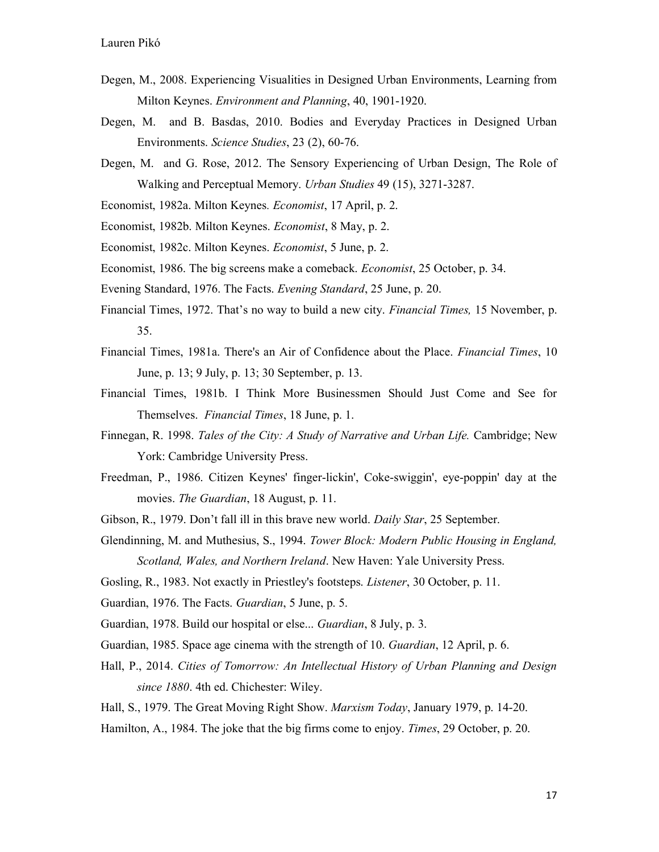- Degen, M., 2008. Experiencing Visualities in Designed Urban Environments, Learning from Milton Keynes. Environment and Planning, 40, 1901-1920.
- Degen, M. and B. Basdas, 2010. Bodies and Everyday Practices in Designed Urban Environments. Science Studies, 23 (2), 60-76.
- Degen, M. and G. Rose, 2012. The Sensory Experiencing of Urban Design, The Role of Walking and Perceptual Memory. Urban Studies 49 (15), 3271-3287.
- Economist, 1982a. Milton Keynes. Economist, 17 April, p. 2.
- Economist, 1982b. Milton Keynes. Economist, 8 May, p. 2.
- Economist, 1982c. Milton Keynes. Economist, 5 June, p. 2.
- Economist, 1986. The big screens make a comeback. Economist, 25 October, p. 34.
- Evening Standard, 1976. The Facts. Evening Standard, 25 June, p. 20.
- Financial Times, 1972. That's no way to build a new city. Financial Times, 15 November, p. 35.
- Financial Times, 1981a. There's an Air of Confidence about the Place. Financial Times, 10 June, p. 13; 9 July, p. 13; 30 September, p. 13.
- Financial Times, 1981b. I Think More Businessmen Should Just Come and See for Themselves. Financial Times, 18 June, p. 1.
- Finnegan, R. 1998. Tales of the City: A Study of Narrative and Urban Life. Cambridge; New York: Cambridge University Press.
- Freedman, P., 1986. Citizen Keynes' finger-lickin', Coke-swiggin', eye-poppin' day at the movies. *The Guardian*, 18 August, p. 11.
- Gibson, R., 1979. Don't fall ill in this brave new world. Daily Star, 25 September.
- Glendinning, M. and Muthesius, S., 1994. Tower Block: Modern Public Housing in England, Scotland, Wales, and Northern Ireland. New Haven: Yale University Press.
- Gosling, R., 1983. Not exactly in Priestley's footsteps. *Listener*, 30 October, p. 11.
- Guardian, 1976. The Facts. Guardian, 5 June, p. 5.
- Guardian, 1978. Build our hospital or else... Guardian, 8 July, p. 3.
- Guardian, 1985. Space age cinema with the strength of 10. Guardian, 12 April, p. 6.
- Hall, P., 2014. Cities of Tomorrow: An Intellectual History of Urban Planning and Design since 1880. 4th ed. Chichester: Wiley.
- Hall, S., 1979. The Great Moving Right Show. Marxism Today, January 1979, p. 14-20.
- Hamilton, A., 1984. The joke that the big firms come to enjoy. Times, 29 October, p. 20.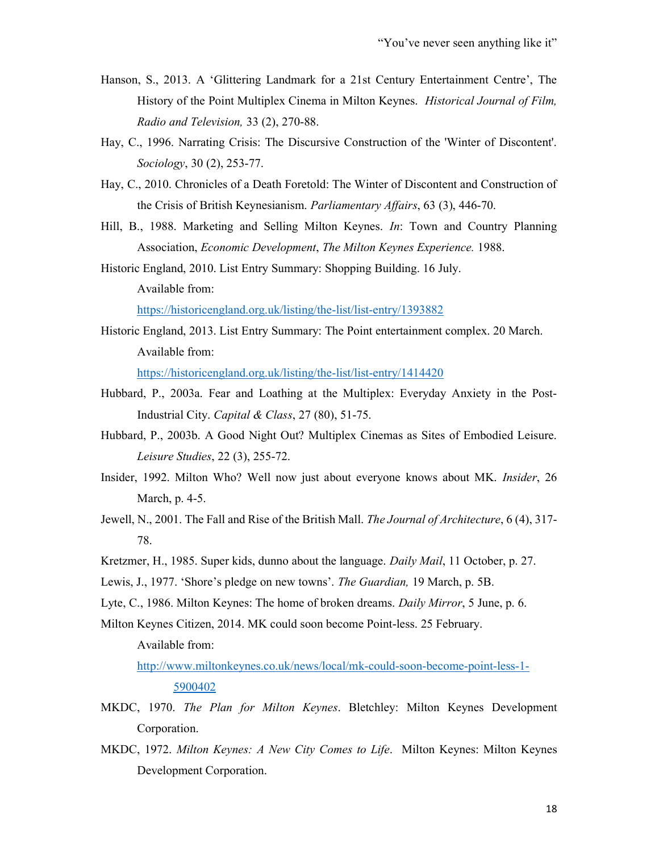- Hanson, S., 2013. A 'Glittering Landmark for a 21st Century Entertainment Centre', The History of the Point Multiplex Cinema in Milton Keynes. Historical Journal of Film, Radio and Television, 33 (2), 270-88.
- Hay, C., 1996. Narrating Crisis: The Discursive Construction of the 'Winter of Discontent'. Sociology, 30 (2), 253-77.
- Hay, C., 2010. Chronicles of a Death Foretold: The Winter of Discontent and Construction of the Crisis of British Keynesianism. Parliamentary Affairs, 63 (3), 446-70.
- Hill, B., 1988. Marketing and Selling Milton Keynes. In: Town and Country Planning Association, Economic Development, The Milton Keynes Experience. 1988.
- Historic England, 2010. List Entry Summary: Shopping Building. 16 July. Available from: https://historicengland.org.uk/listing/the-list/list-entry/1393882
- Historic England, 2013. List Entry Summary: The Point entertainment complex. 20 March. Available from: https://historicengland.org.uk/listing/the-list/list-entry/1414420
- Hubbard, P., 2003a. Fear and Loathing at the Multiplex: Everyday Anxiety in the Post-Industrial City. Capital & Class, 27 (80), 51-75.
- Hubbard, P., 2003b. A Good Night Out? Multiplex Cinemas as Sites of Embodied Leisure. Leisure Studies, 22 (3), 255-72.
- Insider, 1992. Milton Who? Well now just about everyone knows about MK. Insider, 26 March, p. 4-5.
- Jewell, N., 2001. The Fall and Rise of the British Mall. The Journal of Architecture, 6 (4), 317-78.
- Kretzmer, H., 1985. Super kids, dunno about the language. *Daily Mail*, 11 October, p. 27.
- Lewis, J., 1977. 'Shore's pledge on new towns'. The Guardian, 19 March, p. 5B.
- Lyte, C., 1986. Milton Keynes: The home of broken dreams. Daily Mirror, 5 June, p. 6.
- Milton Keynes Citizen, 2014. MK could soon become Point-less. 25 February.

Available from:

http://www.miltonkeynes.co.uk/news/local/mk-could-soon-become-point-less-1- 5900402

- MKDC, 1970. The Plan for Milton Keynes. Bletchley: Milton Keynes Development Corporation.
- MKDC, 1972. Milton Keynes: A New City Comes to Life. Milton Keynes: Milton Keynes Development Corporation.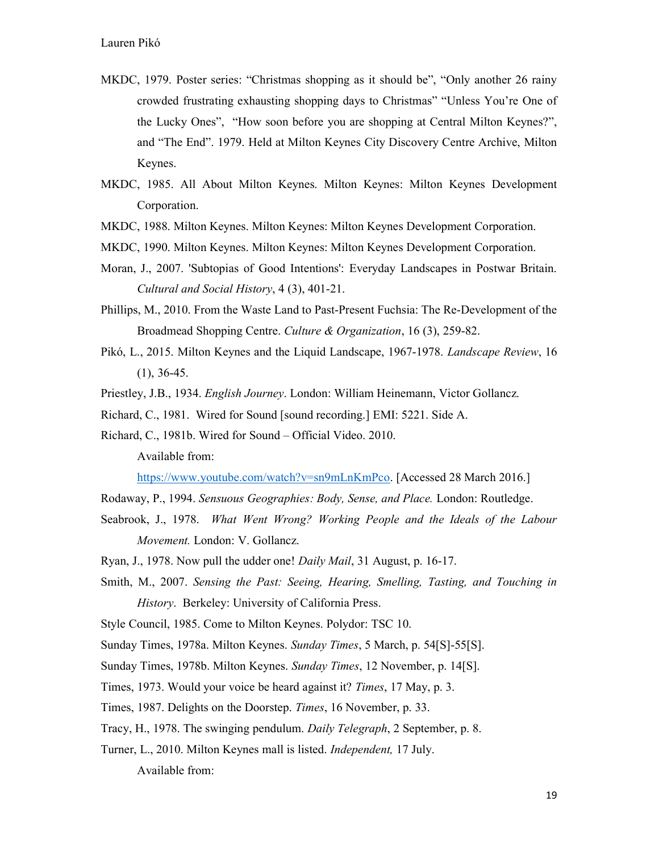- MKDC, 1979. Poster series: "Christmas shopping as it should be", "Only another 26 rainy crowded frustrating exhausting shopping days to Christmas" "Unless You're One of the Lucky Ones", "How soon before you are shopping at Central Milton Keynes?", and "The End". 1979. Held at Milton Keynes City Discovery Centre Archive, Milton Keynes.
- MKDC, 1985. All About Milton Keynes. Milton Keynes: Milton Keynes Development Corporation.
- MKDC, 1988. Milton Keynes. Milton Keynes: Milton Keynes Development Corporation.
- MKDC, 1990. Milton Keynes. Milton Keynes: Milton Keynes Development Corporation.
- Moran, J., 2007. 'Subtopias of Good Intentions': Everyday Landscapes in Postwar Britain. Cultural and Social History, 4 (3), 401-21.
- Phillips, M., 2010. From the Waste Land to Past-Present Fuchsia: The Re-Development of the Broadmead Shopping Centre. Culture & Organization, 16 (3), 259-82.
- Pikó, L., 2015. Milton Keynes and the Liquid Landscape, 1967-1978. *Landscape Review*, 16 (1), 36-45.
- Priestley, J.B., 1934. English Journey. London: William Heinemann, Victor Gollancz.
- Richard, C., 1981. Wired for Sound [sound recording.] EMI: 5221. Side A.

Richard, C., 1981b. Wired for Sound – Official Video. 2010.

Available from:

https://www.youtube.com/watch?v=sn9mLnKmPco. [Accessed 28 March 2016.]

- Rodaway, P., 1994. Sensuous Geographies: Body, Sense, and Place. London: Routledge.
- Seabrook, J., 1978. What Went Wrong? Working People and the Ideals of the Labour Movement. London: V. Gollancz.
- Ryan, J., 1978. Now pull the udder one! Daily Mail, 31 August, p. 16-17.
- Smith, M., 2007. Sensing the Past: Seeing, Hearing, Smelling, Tasting, and Touching in History. Berkeley: University of California Press.
- Style Council, 1985. Come to Milton Keynes. Polydor: TSC 10.
- Sunday Times, 1978a. Milton Keynes. Sunday Times, 5 March, p. 54[S]-55[S].
- Sunday Times, 1978b. Milton Keynes. Sunday Times, 12 November, p. 14[S].
- Times, 1973. Would your voice be heard against it? Times, 17 May, p. 3.
- Times, 1987. Delights on the Doorstep. Times, 16 November, p. 33.
- Tracy, H., 1978. The swinging pendulum. Daily Telegraph, 2 September, p. 8.
- Turner, L., 2010. Milton Keynes mall is listed. *Independent*, 17 July.

Available from: